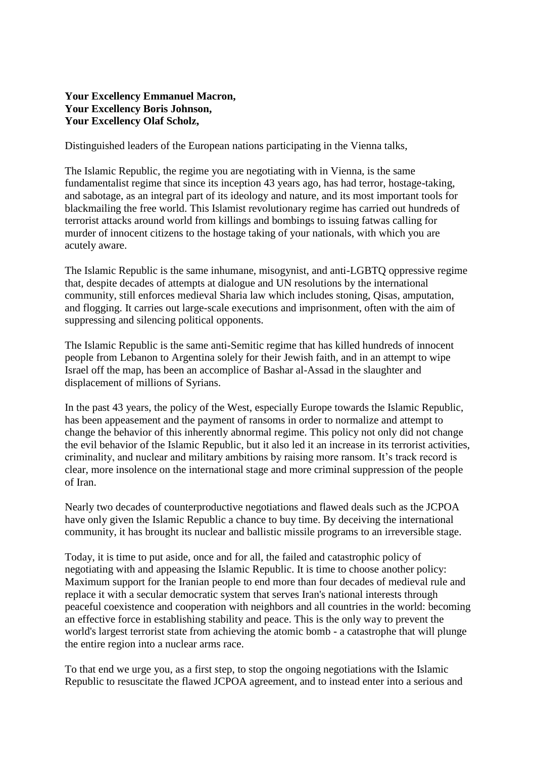## **Your Excellency Emmanuel Macron, Your Excellency Boris Johnson, Your Excellency Olaf Scholz,**

Distinguished leaders of the European nations participating in the Vienna talks,

The Islamic Republic, the regime you are negotiating with in Vienna, is the same fundamentalist regime that since its inception 43 years ago, has had terror, hostage-taking, and sabotage, as an integral part of its ideology and nature, and its most important tools for blackmailing the free world. This Islamist revolutionary regime has carried out hundreds of terrorist attacks around world from killings and bombings to issuing fatwas calling for murder of innocent citizens to the hostage taking of your nationals, with which you are acutely aware.

The Islamic Republic is the same inhumane, misogynist, and anti-LGBTQ oppressive regime that, despite decades of attempts at dialogue and UN resolutions by the international community, still enforces medieval Sharia law which includes stoning, Qisas, amputation, and flogging. It carries out large-scale executions and imprisonment, often with the aim of suppressing and silencing political opponents.

The Islamic Republic is the same anti-Semitic regime that has killed hundreds of innocent people from Lebanon to Argentina solely for their Jewish faith, and in an attempt to wipe Israel off the map, has been an accomplice of Bashar al-Assad in the slaughter and displacement of millions of Syrians.

In the past 43 years, the policy of the West, especially Europe towards the Islamic Republic, has been appeasement and the payment of ransoms in order to normalize and attempt to change the behavior of this inherently abnormal regime. This policy not only did not change the evil behavior of the Islamic Republic, but it also led it an increase in its terrorist activities, criminality, and nuclear and military ambitions by raising more ransom. It's track record is clear, more insolence on the international stage and more criminal suppression of the people of Iran.

Nearly two decades of counterproductive negotiations and flawed deals such as the JCPOA have only given the Islamic Republic a chance to buy time. By deceiving the international community, it has brought its nuclear and ballistic missile programs to an irreversible stage.

Today, it is time to put aside, once and for all, the failed and catastrophic policy of negotiating with and appeasing the Islamic Republic. It is time to choose another policy: Maximum support for the Iranian people to end more than four decades of medieval rule and replace it with a secular democratic system that serves Iran's national interests through peaceful coexistence and cooperation with neighbors and all countries in the world: becoming an effective force in establishing stability and peace. This is the only way to prevent the world's largest terrorist state from achieving the atomic bomb - a catastrophe that will plunge the entire region into a nuclear arms race.

To that end we urge you, as a first step, to stop the ongoing negotiations with the Islamic Republic to resuscitate the flawed JCPOA agreement, and to instead enter into a serious and